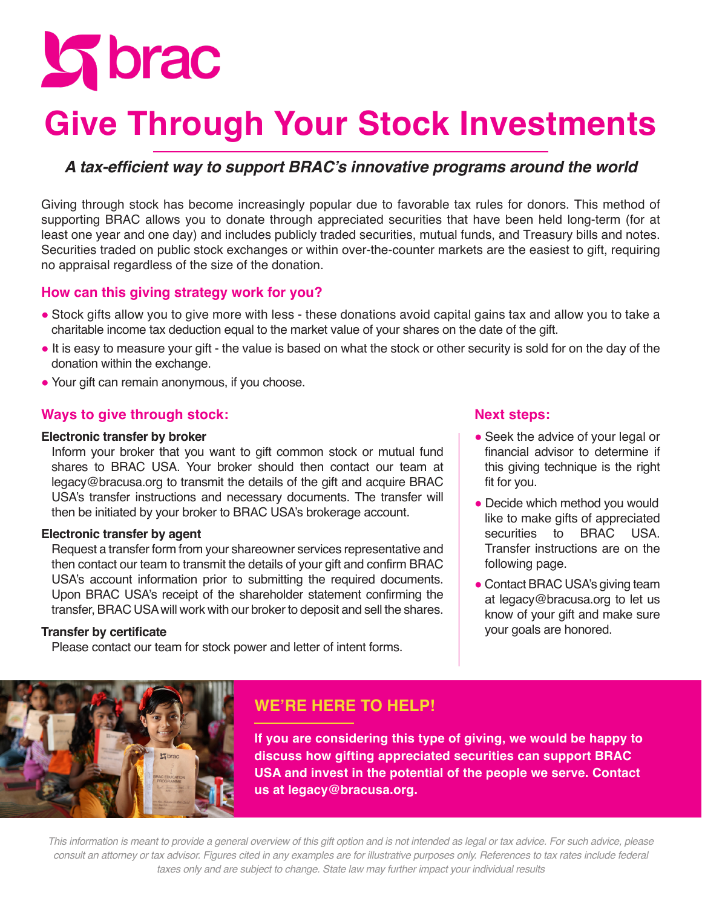**S** brac

# **Give Through Your Stock Investments**

# **A tax-efficient way to support BRAC's innovative programs around the world**

Giving through stock has become increasingly popular due to favorable tax rules for donors. This method of supporting BRAC allows you to donate through appreciated securities that have been held long-term (for at least one year and one day) and includes publicly traded securities, mutual funds, and Treasury bills and notes. Securities traded on public stock exchanges or within over-the-counter markets are the easiest to gift, requiring no appraisal regardless of the size of the donation.

## **How can this giving strategy work for you?**

- **●** Stock gifts allow you to give more with less these donations avoid capital gains tax and allow you to take a charitable income tax deduction equal to the market value of your shares on the date of the gift.
- **●** It is easy to measure your gift the value is based on what the stock or other security is sold for on the day of the donation within the exchange.
- **●** Your gift can remain anonymous, if you choose.

### **Ways to give through stock:**

#### **Electronic transfer by broker**

Inform your broker that you want to gift common stock or mutual fund shares to BRAC USA. Your broker should then contact our team at legacy@bracusa.org to transmit the details of the gift and acquire BRAC USA's transfer instructions and necessary documents. The transfer will then be initiated by your broker to BRAC USA's brokerage account.

#### **Electronic transfer by agent**

Request a transfer form from your shareowner services representative and then contact our team to transmit the details of your gift and confirm BRAC USA's account information prior to submitting the required documents. Upon BRAC USA's receipt of the shareholder statement confirming the transfer, BRAC USA will work with our broker to deposit and sell the shares.

#### **Transfer by certificate**

Please contact our team for stock power and letter of intent forms.

### **Next steps:**

- Seek the advice of your legal or financial advisor to determine if this giving technique is the right fit for you.
- Decide which method you would like to make gifts of appreciated securities to BRAC USA. Transfer instructions are on the following page.
- Contact BRAC USA's giving team at legacy@bracusa.org to let us know of your gift and make sure your goals are honored.



# **WE'RE HERE TO HELP!**

**If you are considering this type of giving, we would be happy to discuss how gifting appreciated securities can support BRAC USA and invest in the potential of the people we serve. Contact us at legacy@bracusa.org.** 

*This information is meant to provide a general overview of this gift option and is not intended as legal or tax advice. For such advice, please consult an attorney or tax advisor. Figures cited in any examples are for illustrative purposes only. References to tax rates include federal taxes only and are subject to change. State law may further impact your individual results*